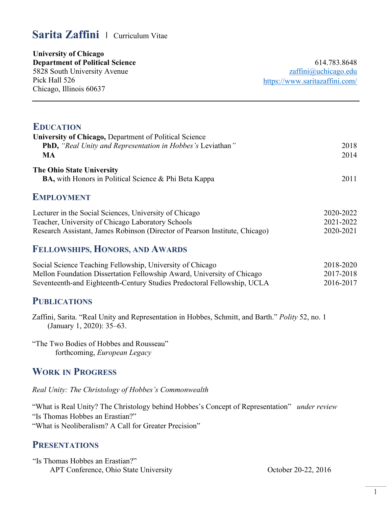# **Sarita Zaffini** | Curriculum Vitae

**University of Chicago Department of Political Science** 5828 South University Avenue Pick Hall 526 Chicago, Illinois 60637

**EDUCATION**

614.783.8648 [zaffini@uchicago.edu](mailto:zaffini@uchicago.edu) <https://www.saritazaffini.com/>

| LIJUUA HUN                                                                  |           |
|-----------------------------------------------------------------------------|-----------|
| University of Chicago, Department of Political Science                      |           |
| <b>PhD,</b> "Real Unity and Representation in Hobbes's Leviathan"           | 2018      |
| <b>MA</b>                                                                   | 2014      |
| <b>The Ohio State University</b>                                            |           |
| <b>BA</b> , with Honors in Political Science & Phi Beta Kappa               | 2011      |
| <b>EMPLOYMENT</b>                                                           |           |
| Lecturer in the Social Sciences, University of Chicago                      | 2020-2022 |
| Teacher, University of Chicago Laboratory Schools                           | 2021-2022 |
| Research Assistant, James Robinson (Director of Pearson Institute, Chicago) | 2020-2021 |
| <b>FELLOWSHIPS, HONORS, AND AWARDS</b>                                      |           |
| Social Science Teaching Fellowship, University of Chicago                   | 2018-2020 |
| Mellon Foundation Dissertation Fellowship Award, University of Chicago      | 2017-2018 |

Seventeenth-and Eighteenth-Century Studies Predoctoral Fellowship, UCLA 2016-2017

#### **PUBLICATIONS**

 Zaffini, Sarita. "Real Unity and Representation in Hobbes, Schmitt, and Barth." *Polity* 52, no. 1 (January 1, 2020): 35–63.

"The Two Bodies of Hobbes and Rousseau" forthcoming, *European Legacy*

### **WORK IN PROGRESS**

*Real Unity: The Christology of Hobbes's Commonwealth*

"What is Real Unity? The Christology behind Hobbes's Concept of Representation" *under review* "Is Thomas Hobbes an Erastian?" "What is Neoliberalism? A Call for Greater Precision"

### **PRESENTATIONS**

"Is Thomas Hobbes an Erastian?" APT Conference, Ohio State University Corober 20-22, 2016